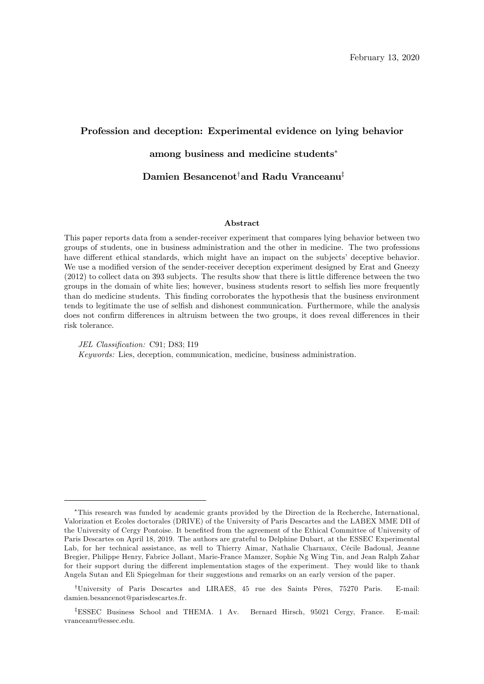# Profession and deception: Experimental evidence on lying behavior

### among business and medicine students

### Damien Besancenot<sup>†</sup>and Radu Vranceanu<sup>‡</sup>

#### Abstract

This paper reports data from a sender-receiver experiment that compares lying behavior between two groups of students, one in business administration and the other in medicine. The two professions have different ethical standards, which might have an impact on the subjects' deceptive behavior. We use a modified version of the sender-receiver deception experiment designed by Erat and Gneezy  $(2012)$  to collect data on 393 subjects. The results show that there is little difference between the two groups in the domain of white lies; however, business students resort to selfish lies more frequently than do medicine students. This Önding corroborates the hypothesis that the business environment tends to legitimate the use of selfish and dishonest communication. Furthermore, while the analysis does not confirm differences in altruism between the two groups, it does reveal differences in their risk tolerance.

JEL Classification: C91: D83: I19 Keywords: Lies, deception, communication, medicine, business administration.

This research was funded by academic grants provided by the Direction de la Recherche, International, Valorization et Ecoles doctorales (DRIVE) of the University of Paris Descartes and the LABEX MME DII of the University of Cergy Pontoise. It benefited from the agreement of the Ethical Committee of University of Paris Descartes on April 18, 2019. The authors are grateful to Delphine Dubart, at the ESSEC Experimental Lab, for her technical assistance, as well to Thierry Aimar, Nathalie Charnaux, Cécile Badoual, Jeanne Bregier, Philippe Henry, Fabrice Jollant, Marie-France Mamzer, Sophie Ng Wing Tin, and Jean Ralph Zahar for their support during the different implementation stages of the experiment. They would like to thank Angela Sutan and Eli Spiegelman for their suggestions and remarks on an early version of the paper.

<sup>&</sup>lt;sup>†</sup>University of Paris Descartes and LIRAES, 45 rue des Saints Pères, 75270 Paris. E-mail: damien.besancenot@parisdescartes.fr.

<sup>&</sup>lt;sup>‡</sup>ESSEC Business School and THEMA. 1 Av. Bernard Hirsch, 95021 Cergy, France. E-mail: vranceanu@essec.edu.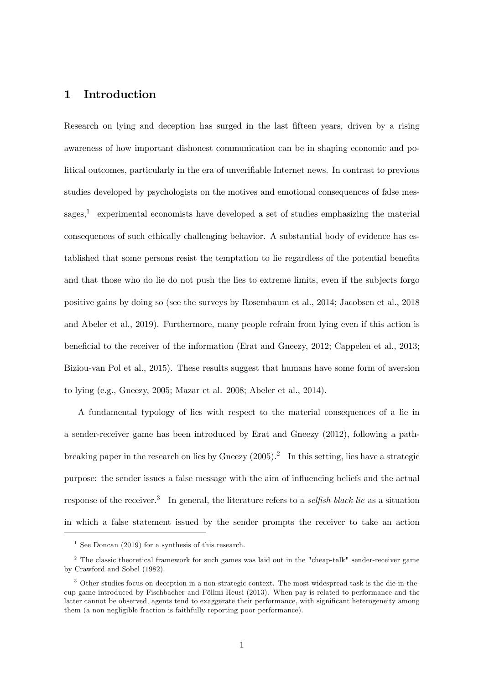# 1 Introduction

Research on lying and deception has surged in the last fifteen years, driven by a rising awareness of how important dishonest communication can be in shaping economic and political outcomes, particularly in the era of unverifiable Internet news. In contrast to previous studies developed by psychologists on the motives and emotional consequences of false messages,<sup>1</sup> experimental economists have developed a set of studies emphasizing the material consequences of such ethically challenging behavior. A substantial body of evidence has established that some persons resist the temptation to lie regardless of the potential benefits and that those who do lie do not push the lies to extreme limits, even if the subjects forgo positive gains by doing so (see the surveys by Rosembaum et al., 2014; Jacobsen et al., 2018 and Abeler et al., 2019). Furthermore, many people refrain from lying even if this action is beneficial to the receiver of the information (Erat and Gneezy, 2012; Cappelen et al., 2013; Biziou-van Pol et al., 2015). These results suggest that humans have some form of aversion to lying (e.g., Gneezy, 2005; Mazar et al. 2008; Abeler et al., 2014).

A fundamental typology of lies with respect to the material consequences of a lie in a sender-receiver game has been introduced by Erat and Gneezy (2012), following a pathbreaking paper in the research on lies by Gneezy  $(2005).<sup>2</sup>$  In this setting, lies have a strategic purpose: the sender issues a false message with the aim of ináuencing beliefs and the actual response of the receiver.<sup>3</sup> In general, the literature refers to a *selfish black lie* as a situation in which a false statement issued by the sender prompts the receiver to take an action

<sup>&</sup>lt;sup>1</sup> See Doncan (2019) for a synthesis of this research.

<sup>2</sup> The classic theoretical framework for such games was laid out in the "cheap-talk" sender-receiver game by Crawford and Sobel (1982).

<sup>3</sup> Other studies focus on deception in a non-strategic context. The most widespread task is the die-in-thecup game introduced by Fischbacher and Föllmi-Heusi (2013). When pay is related to performance and the latter cannot be observed, agents tend to exaggerate their performance, with significant heterogeneity among them (a non negligible fraction is faithfully reporting poor performance).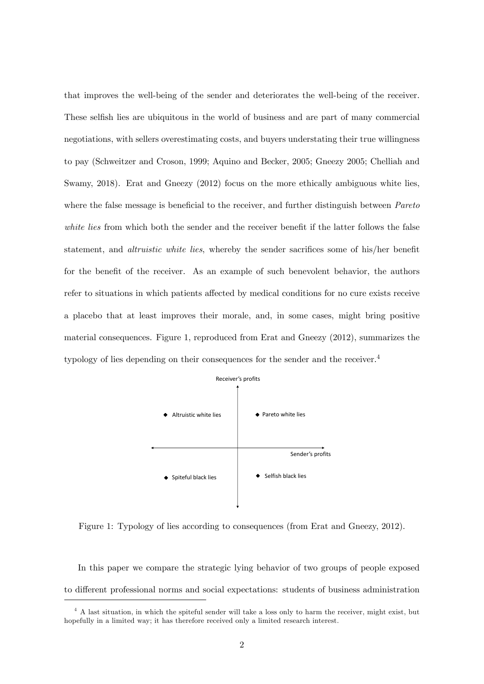that improves the well-being of the sender and deteriorates the well-being of the receiver. These selfish lies are ubiquitous in the world of business and are part of many commercial negotiations, with sellers overestimating costs, and buyers understating their true willingness to pay (Schweitzer and Croson, 1999; Aquino and Becker, 2005; Gneezy 2005; Chelliah and Swamy, 2018). Erat and Gneezy (2012) focus on the more ethically ambiguous white lies, where the false message is beneficial to the receiver, and further distinguish between  $Pareto$ white lies from which both the sender and the receiver benefit if the latter follows the false statement, and *altruistic white lies*, whereby the sender sacrifices some of his/her benefit for the benefit of the receiver. As an example of such benevolent behavior, the authors refer to situations in which patients affected by medical conditions for no cure exists receive a placebo that at least improves their morale, and, in some cases, might bring positive material consequences. Figure 1, reproduced from Erat and Gneezy (2012), summarizes the typology of lies depending on their consequences for the sender and the receiver.<sup>4</sup>



Figure 1: Typology of lies according to consequences (from Erat and Gneezy, 2012).

In this paper we compare the strategic lying behavior of two groups of people exposed to different professional norms and social expectations: students of business administration

<sup>4</sup> A last situation, in which the spiteful sender will take a loss only to harm the receiver, might exist, but hopefully in a limited way; it has therefore received only a limited research interest.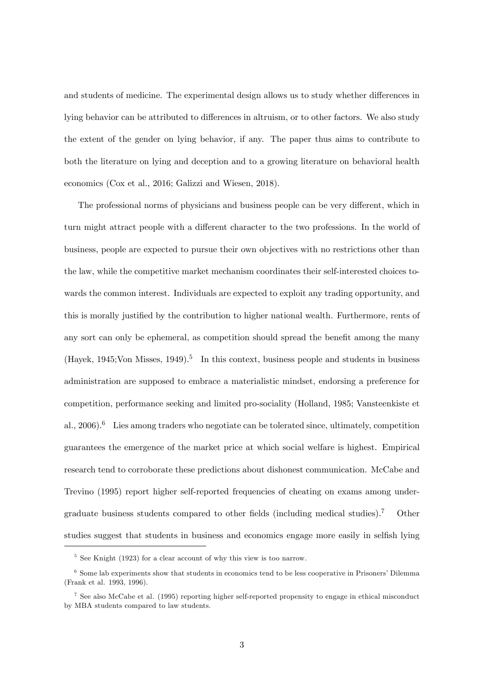and students of medicine. The experimental design allows us to study whether differences in lying behavior can be attributed to differences in altruism, or to other factors. We also study the extent of the gender on lying behavior, if any. The paper thus aims to contribute to both the literature on lying and deception and to a growing literature on behavioral health economics (Cox et al., 2016; Galizzi and Wiesen, 2018).

The professional norms of physicians and business people can be very different, which in turn might attract people with a different character to the two professions. In the world of business, people are expected to pursue their own objectives with no restrictions other than the law, while the competitive market mechanism coordinates their self-interested choices towards the common interest. Individuals are expected to exploit any trading opportunity, and this is morally justified by the contribution to higher national wealth. Furthermore, rents of any sort can only be ephemeral, as competition should spread the benefit among the many  $(Hayek, 1945; Von Misses, 1949).$ <sup>5</sup> In this context, business people and students in business administration are supposed to embrace a materialistic mindset, endorsing a preference for competition, performance seeking and limited pro-sociality (Holland, 1985; Vansteenkiste et al.,  $2006$ .<sup>6</sup> Lies among traders who negotiate can be tolerated since, ultimately, competition guarantees the emergence of the market price at which social welfare is highest. Empirical research tend to corroborate these predictions about dishonest communication. McCabe and Trevino (1995) report higher self-reported frequencies of cheating on exams among undergraduate business students compared to other fields (including medical studies).<sup>7</sup> Other studies suggest that students in business and economics engage more easily in selfish lying

<sup>&</sup>lt;sup>5</sup> See Knight (1923) for a clear account of why this view is too narrow.

 $6$  Some lab experiments show that students in economics tend to be less cooperative in Prisoners' Dilemma (Frank et al. 1993, 1996).

<sup>7</sup> See also McCabe et al. (1995) reporting higher self-reported propensity to engage in ethical misconduct by MBA students compared to law students.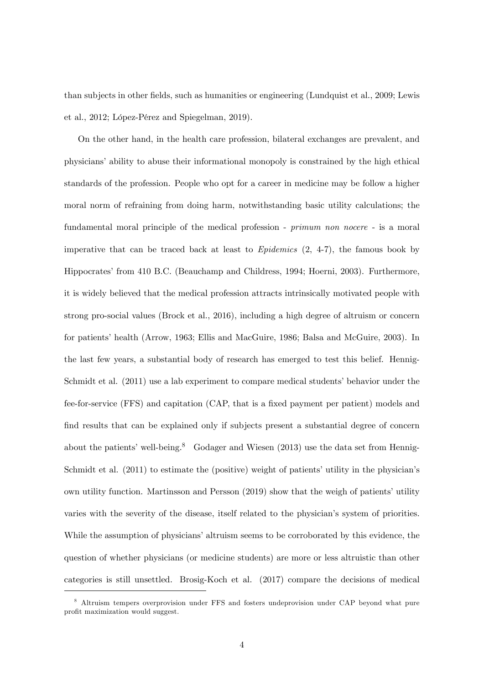than subjects in other fields, such as humanities or engineering (Lundquist et al., 2009; Lewis et al., 2012; López-Pérez and Spiegelman, 2019).

On the other hand, in the health care profession, bilateral exchanges are prevalent, and physiciansíability to abuse their informational monopoly is constrained by the high ethical standards of the profession. People who opt for a career in medicine may be follow a higher moral norm of refraining from doing harm, notwithstanding basic utility calculations; the fundamental moral principle of the medical profession - *primum non nocere* - is a moral imperative that can be traced back at least to  $Epidemics$  (2, 4-7), the famous book by Hippocratesí from 410 B.C. (Beauchamp and Childress, 1994; Hoerni, 2003). Furthermore, it is widely believed that the medical profession attracts intrinsically motivated people with strong pro-social values (Brock et al., 2016), including a high degree of altruism or concern for patients' health (Arrow, 1963; Ellis and MacGuire, 1986; Balsa and McGuire, 2003). In the last few years, a substantial body of research has emerged to test this belief. Hennig-Schmidt et al. (2011) use a lab experiment to compare medical students' behavior under the fee-for-service (FFS) and capitation (CAP, that is a fixed payment per patient) models and find results that can be explained only if subjects present a substantial degree of concern about the patients' well-being.<sup>8</sup> Godager and Wiesen (2013) use the data set from Hennig-Schmidt et al.  $(2011)$  to estimate the (positive) weight of patients' utility in the physician's own utility function. Martinsson and Persson  $(2019)$  show that the weigh of patients' utility varies with the severity of the disease, itself related to the physician's system of priorities. While the assumption of physicians' altruism seems to be corroborated by this evidence, the question of whether physicians (or medicine students) are more or less altruistic than other categories is still unsettled. Brosig-Koch et al. (2017) compare the decisions of medical

<sup>8</sup> Altruism tempers overprovision under FFS and fosters undeprovision under CAP beyond what pure profit maximization would suggest.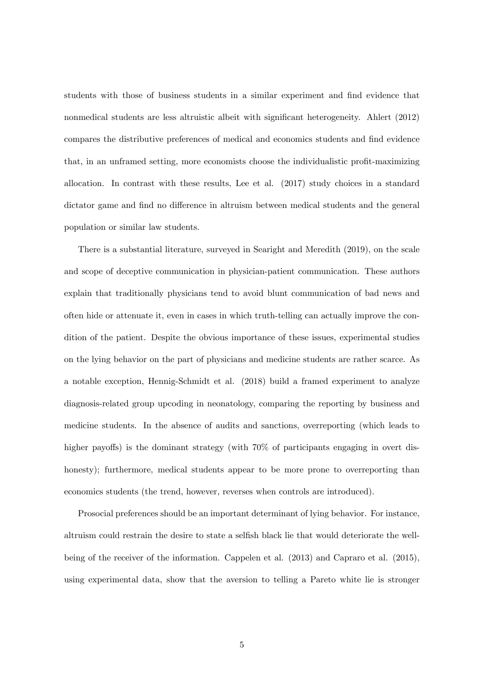students with those of business students in a similar experiment and find evidence that nonmedical students are less altruistic albeit with significant heterogeneity. Ahlert (2012) compares the distributive preferences of medical and economics students and find evidence that, in an unframed setting, more economists choose the individualistic profit-maximizing allocation. In contrast with these results, Lee et al. (2017) study choices in a standard dictator game and find no difference in altruism between medical students and the general population or similar law students.

There is a substantial literature, surveyed in Searight and Meredith (2019), on the scale and scope of deceptive communication in physician-patient communication. These authors explain that traditionally physicians tend to avoid blunt communication of bad news and often hide or attenuate it, even in cases in which truth-telling can actually improve the condition of the patient. Despite the obvious importance of these issues, experimental studies on the lying behavior on the part of physicians and medicine students are rather scarce. As a notable exception, Hennig-Schmidt et al. (2018) build a framed experiment to analyze diagnosis-related group upcoding in neonatology, comparing the reporting by business and medicine students. In the absence of audits and sanctions, overreporting (which leads to higher payoffs) is the dominant strategy (with  $70\%$  of participants engaging in overt dishonesty); furthermore, medical students appear to be more prone to overreporting than economics students (the trend, however, reverses when controls are introduced).

Prosocial preferences should be an important determinant of lying behavior. For instance, altruism could restrain the desire to state a selfish black lie that would deteriorate the wellbeing of the receiver of the information. Cappelen et al. (2013) and Capraro et al. (2015), using experimental data, show that the aversion to telling a Pareto white lie is stronger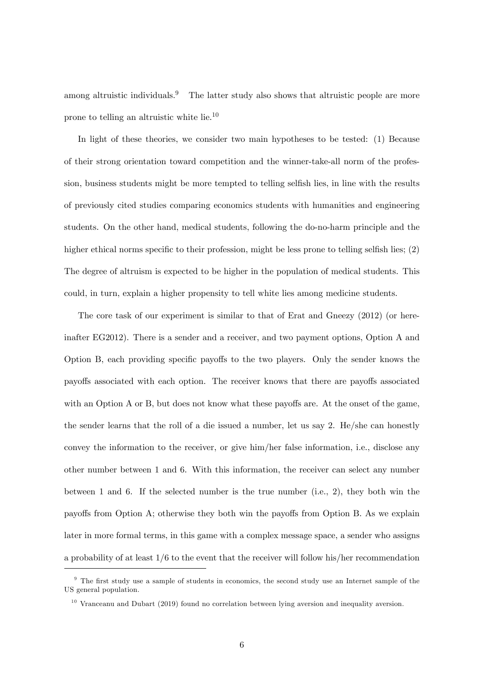among altruistic individuals.<sup>9</sup> The latter study also shows that altruistic people are more prone to telling an altruistic white lie.<sup>10</sup>

In light of these theories, we consider two main hypotheses to be tested: (1) Because of their strong orientation toward competition and the winner-take-all norm of the profession, business students might be more tempted to telling selfish lies, in line with the results of previously cited studies comparing economics students with humanities and engineering students. On the other hand, medical students, following the do-no-harm principle and the higher ethical norms specific to their profession, might be less prone to telling selfish lies;  $(2)$ The degree of altruism is expected to be higher in the population of medical students. This could, in turn, explain a higher propensity to tell white lies among medicine students.

The core task of our experiment is similar to that of Erat and Gneezy (2012) (or hereinafter EG2012). There is a sender and a receiver, and two payment options, Option A and Option B, each providing specific payoffs to the two players. Only the sender knows the payoffs associated with each option. The receiver knows that there are payoffs associated with an Option  $A$  or  $B$ , but does not know what these payoffs are. At the onset of the game, the sender learns that the roll of a die issued a number, let us say 2. He/she can honestly convey the information to the receiver, or give him/her false information, i.e., disclose any other number between 1 and 6. With this information, the receiver can select any number between 1 and 6. If the selected number is the true number (i.e., 2), they both win the payoffs from Option A; otherwise they both win the payoffs from Option B. As we explain later in more formal terms, in this game with a complex message space, a sender who assigns a probability of at least 1/6 to the event that the receiver will follow his/her recommendation

 $9$  The first study use a sample of students in economics, the second study use an Internet sample of the US general population.

 $10$  Vranceanu and Dubart (2019) found no correlation between lying aversion and inequality aversion.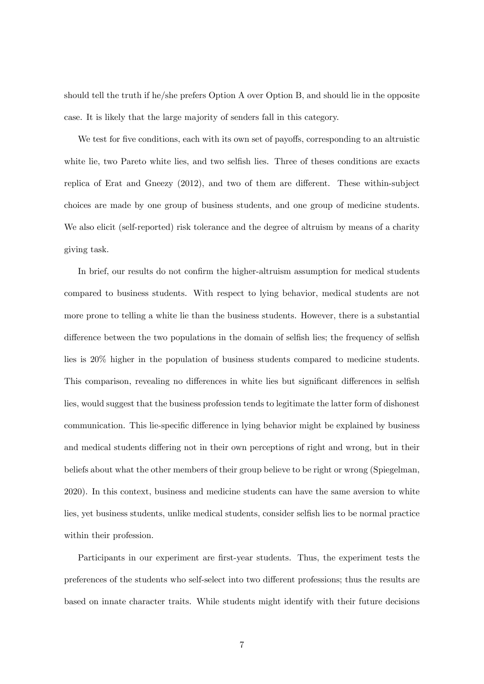should tell the truth if he/she prefers Option A over Option B, and should lie in the opposite case. It is likely that the large majority of senders fall in this category.

We test for five conditions, each with its own set of payoffs, corresponding to an altruistic white lie, two Pareto white lies, and two selfish lies. Three of theses conditions are exacts replica of Erat and Gneezy  $(2012)$ , and two of them are different. These within-subject choices are made by one group of business students, and one group of medicine students. We also elicit (self-reported) risk tolerance and the degree of altruism by means of a charity giving task.

In brief, our results do not confirm the higher-altruism assumption for medical students compared to business students. With respect to lying behavior, medical students are not more prone to telling a white lie than the business students. However, there is a substantial difference between the two populations in the domain of selfish lies; the frequency of selfish lies is 20% higher in the population of business students compared to medicine students. This comparison, revealing no differences in white lies but significant differences in selfish lies, would suggest that the business profession tends to legitimate the latter form of dishonest communication. This lie-specific difference in lying behavior might be explained by business and medical students differing not in their own perceptions of right and wrong, but in their beliefs about what the other members of their group believe to be right or wrong (Spiegelman, 2020). In this context, business and medicine students can have the same aversion to white lies, yet business students, unlike medical students, consider selfish lies to be normal practice within their profession.

Participants in our experiment are first-year students. Thus, the experiment tests the preferences of the students who self-select into two different professions; thus the results are based on innate character traits. While students might identify with their future decisions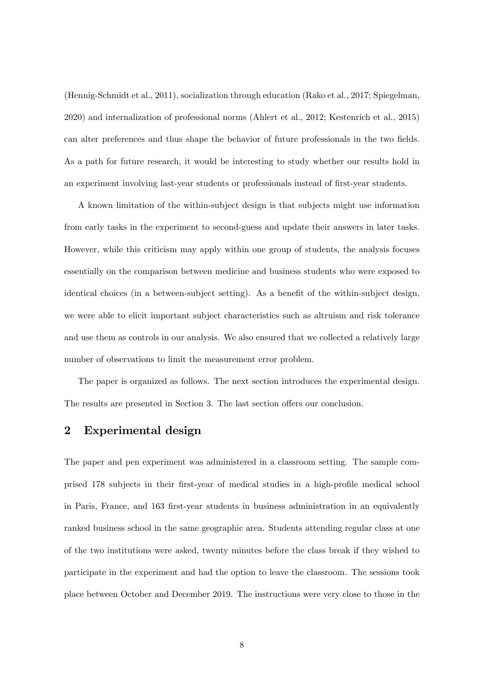(Hennig-Schmidt et al., 2011), socialization through education (Rako et al., 2017; Spiegelman, 2020) and internalization of professional norms (Ahlert et al., 2012; Kestenrich et al., 2015) can alter preferences and thus shape the behavior of future professionals in the two fields. As a path for future research, it would be interesting to study whether our results hold in an experiment involving last-year students or professionals instead of first-year students.

A known limitation of the within-subject design is that subjects might use information from early tasks in the experiment to second-guess and update their answers in later tasks. However, while this criticism may apply within one group of students, the analysis focuses essentially on the comparison between medicine and business students who were exposed to identical choices (in a between-subject setting). As a benefit of the within-subject design, we were able to elicit important subject characteristics such as altruism and risk tolerance and use them as controls in our analysis. We also ensured that we collected a relatively large number of observations to limit the measurement error problem.

The paper is organized as follows. The next section introduces the experimental design. The results are presented in Section 3. The last section offers our conclusion.

# 2 Experimental design

The paper and pen experiment was administered in a classroom setting. The sample comprised 178 subjects in their first-year of medical studies in a high-profile medical school in Paris, France, and 163 Örst-year students in business administration in an equivalently ranked business school in the same geographic area. Students attending regular class at one of the two institutions were asked, twenty minutes before the class break if they wished to participate in the experiment and had the option to leave the classroom. The sessions took place between October and December 2019. The instructions were very close to those in the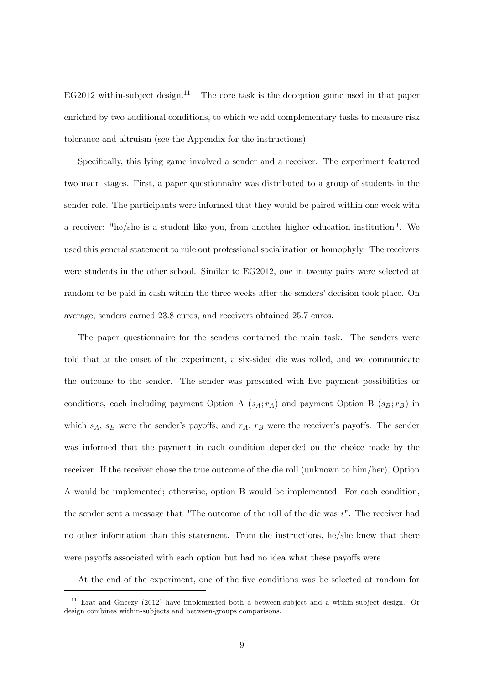EG2012 within-subject design.<sup>11</sup> The core task is the deception game used in that paper enriched by two additional conditions, to which we add complementary tasks to measure risk tolerance and altruism (see the Appendix for the instructions).

Specifically, this lying game involved a sender and a receiver. The experiment featured two main stages. First, a paper questionnaire was distributed to a group of students in the sender role. The participants were informed that they would be paired within one week with a receiver: "he/she is a student like you, from another higher education institution". We used this general statement to rule out professional socialization or homophyly. The receivers were students in the other school. Similar to EG2012, one in twenty pairs were selected at random to be paid in cash within the three weeks after the senders' decision took place. On average, senders earned 23.8 euros, and receivers obtained 25.7 euros.

The paper questionnaire for the senders contained the main task. The senders were told that at the onset of the experiment, a six-sided die was rolled, and we communicate the outcome to the sender. The sender was presented with five payment possibilities or conditions, each including payment Option A  $(s_A; r_A)$  and payment Option B  $(s_B; r_B)$  in which  $s_A$ ,  $s_B$  were the sender's payoffs, and  $r_A$ ,  $r_B$  were the receiver's payoffs. The sender was informed that the payment in each condition depended on the choice made by the receiver. If the receiver chose the true outcome of the die roll (unknown to him/her), Option A would be implemented; otherwise, option B would be implemented. For each condition, the sender sent a message that "The outcome of the roll of the die was i". The receiver had no other information than this statement. From the instructions, he/she knew that there were payoffs associated with each option but had no idea what these payoffs were.

At the end of the experiment, one of the five conditions was be selected at random for

 $11$  Erat and Gneezy (2012) have implemented both a between-subject and a within-subject design. Or design combines within-subjects and between-groups comparisons.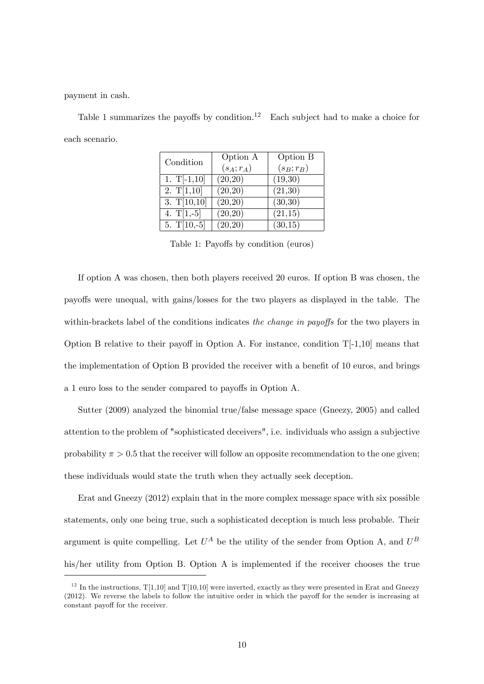payment in cash.

Table 1 summarizes the payoffs by condition.<sup>12</sup> Each subject had to make a choice for each scenario.

| Condition     | Option A     | Option B     |  |
|---------------|--------------|--------------|--|
|               | $(s_A; r_A)$ | $(s_B; r_B)$ |  |
| 1. $T[-1,10]$ | (20,20)      | (19,30)      |  |
| 2. $T[1,10]$  | (20,20)      | (21,30)      |  |
| 3. $T[10,10]$ | (20,20)      | (30,30)      |  |
| 4. $T[1,-5]$  | (20,20)      | (21,15)      |  |
| 5. $T[10,-5]$ | (20,20)      | (30,15)      |  |

Table 1: Payoffs by condition (euros)

If option A was chosen, then both players received 20 euros. If option B was chosen, the payo§s were unequal, with gains/losses for the two players as displayed in the table. The within-brackets label of the conditions indicates the change in payoffs for the two players in Option B relative to their payoff in Option A. For instance, condition  $T[-1,10]$  means that the implementation of Option B provided the receiver with a benefit of  $10$  euros, and brings a 1 euro loss to the sender compared to payoffs in Option A.

Sutter (2009) analyzed the binomial true/false message space (Gneezy, 2005) and called attention to the problem of "sophisticated deceivers", i.e. individuals who assign a subjective probability  $\pi > 0.5$  that the receiver will follow an opposite recommendation to the one given; these individuals would state the truth when they actually seek deception.

Erat and Gneezy (2012) explain that in the more complex message space with six possible statements, only one being true, such a sophisticated deception is much less probable. Their argument is quite compelling. Let  $U^A$  be the utility of the sender from Option A, and  $U^B$ his/her utility from Option B. Option A is implemented if the receiver chooses the true

<sup>&</sup>lt;sup>12</sup> In the instructions,  $T[1,10]$  and  $T[10,10]$  were inverted, exactly as they were presented in Erat and Gneezy  $(2012)$ . We reverse the labels to follow the intuitive order in which the payoff for the sender is increasing at constant payoff for the receiver.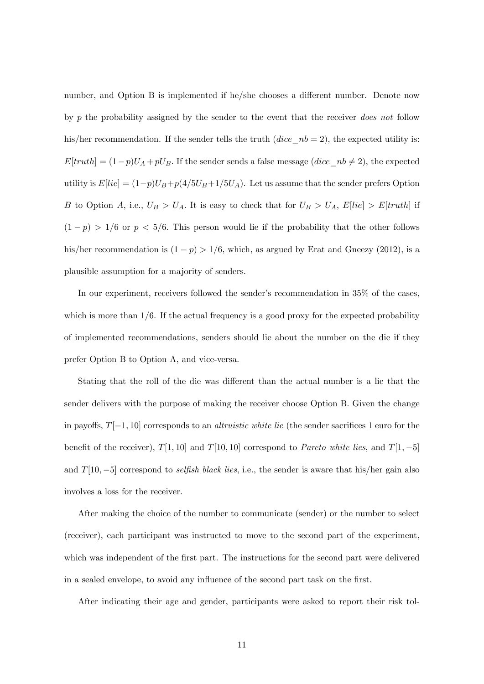number, and Option B is implemented if he/she chooses a different number. Denote now by p the probability assigned by the sender to the event that the receiver does not follow his/her recommendation. If the sender tells the truth  $(dice_n b = 2)$ , the expected utility is:  $E[truth] = (1-p)U_A + pU_B.$  If the sender sends a false message  $(dice\_nb \neq 2)$ , the expected utility is  $E[lie] = (1-p)U_B + p(4/5U_B + 1/5U_A)$ . Let us assume that the sender prefers Option B to Option A, i.e.,  $U_B > U_A$ . It is easy to check that for  $U_B > U_A$ ,  $E[lie] > E[truth]$  if  $(1-p) > 1/6$  or  $p < 5/6$ . This person would lie if the probability that the other follows his/her recommendation is  $(1 - p) > 1/6$ , which, as argued by Erat and Gneezy (2012), is a plausible assumption for a majority of senders.

In our experiment, receivers followed the sender's recommendation in 35% of the cases, which is more than  $1/6$ . If the actual frequency is a good proxy for the expected probability of implemented recommendations, senders should lie about the number on the die if they prefer Option B to Option A, and vice-versa.

Stating that the roll of the die was different than the actual number is a lie that the sender delivers with the purpose of making the receiver choose Option B. Given the change in payoffs,  $T[-1, 10]$  corresponds to an *altruistic white lie* (the sender sacrifices 1 euro for the benefit of the receiver),  $T[1, 10]$  and  $T[10, 10]$  correspond to *Pareto white lies*, and  $T[1, -5]$ and  $T[10, -5]$  correspond to selfish black lies, i.e., the sender is aware that his/her gain also involves a loss for the receiver.

After making the choice of the number to communicate (sender) or the number to select (receiver), each participant was instructed to move to the second part of the experiment, which was independent of the first part. The instructions for the second part were delivered in a sealed envelope, to avoid any influence of the second part task on the first.

After indicating their age and gender, participants were asked to report their risk tol-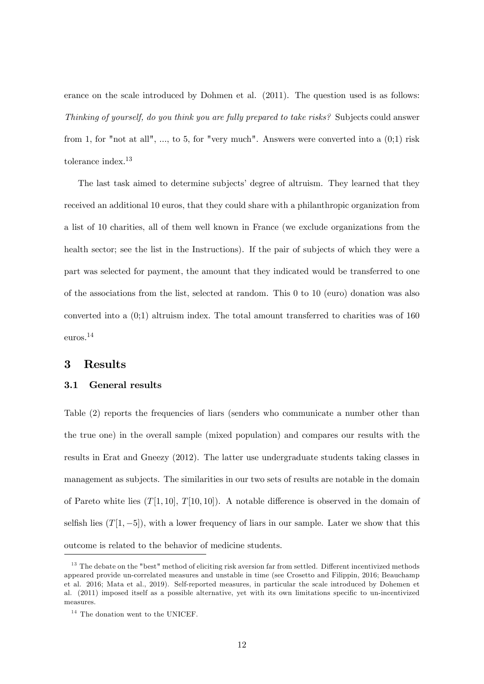erance on the scale introduced by Dohmen et al. (2011). The question used is as follows: Thinking of yourself, do you think you are fully prepared to take risks? Subjects could answer from 1, for "not at all", ..., to 5, for "very much". Answers were converted into a  $(0,1)$  risk tolerance index.<sup>13</sup>

The last task aimed to determine subjects' degree of altruism. They learned that they received an additional 10 euros, that they could share with a philanthropic organization from a list of 10 charities, all of them well known in France (we exclude organizations from the health sector; see the list in the Instructions). If the pair of subjects of which they were a part was selected for payment, the amount that they indicated would be transferred to one of the associations from the list, selected at random. This 0 to 10 (euro) donation was also converted into a  $(0,1)$  altruism index. The total amount transferred to charities was of 160 euros.<sup>14</sup>

### 3 Results

### 3.1 General results

Table (2) reports the frequencies of liars (senders who communicate a number other than the true one) in the overall sample (mixed population) and compares our results with the results in Erat and Gneezy (2012). The latter use undergraduate students taking classes in management as subjects. The similarities in our two sets of results are notable in the domain of Pareto white lies  $(T[1, 10], T[10, 10])$ . A notable difference is observed in the domain of selfish lies  $(T[1, -5])$ , with a lower frequency of liars in our sample. Later we show that this outcome is related to the behavior of medicine students.

<sup>&</sup>lt;sup>13</sup> The debate on the "best" method of eliciting risk aversion far from settled. Different incentivized methods appeared provide un-correlated measures and unstable in time (see Crosetto and Filippin, 2016; Beauchamp et al. 2016; Mata et al., 2019). Self-reported measures, in particular the scale introduced by Dohemen et al. (2011) imposed itself as a possible alternative, yet with its own limitations specific to un-incentivized measures.

 $^{14}$  The donation went to the UNICEF.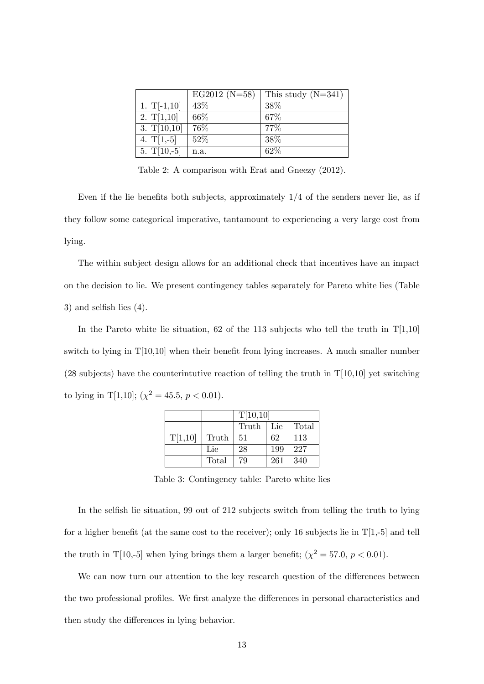|               | $EG2012 (N=58)$ | This study $(N=341)$ |
|---------------|-----------------|----------------------|
| 1. $T[-1,10]$ | 43\%            | 38\%                 |
| 2. $T[1,10]$  | 66\%            | 67\%                 |
| 3. $T[10,10]$ | 76%             | 77\%                 |
| 4. $T[1,-5]$  | $52\%$          | 38\%                 |
| $5. T[10,-5]$ | n.a.            | 62\%                 |

Table 2: A comparison with Erat and Gneezy (2012).

Even if the lie benefits both subjects, approximately  $1/4$  of the senders never lie, as if they follow some categorical imperative, tantamount to experiencing a very large cost from lying.

The within subject design allows for an additional check that incentives have an impact on the decision to lie. We present contingency tables separately for Pareto white lies (Table 3) and selfish lies  $(4)$ .

In the Pareto white lie situation, 62 of the 113 subjects who tell the truth in  $T[1,10]$ switch to lying in  $T[10,10]$  when their benefit from lying increases. A much smaller number  $(28 \text{ subjects})$  have the counterintutive reaction of telling the truth in  $T[10,10]$  yet switching to lying in T[1,10];  $(\chi^2 = 45.5, p < 0.01)$ .

|         |       | T[10,10] |     |       |
|---------|-------|----------|-----|-------|
|         |       | Truth    | Lie | Total |
| T[1,10] | Truth | -51      | 62  | 113   |
|         | Lie   | 28       | 199 | 227   |
|         | Total | 79       | 261 | 340   |

Table 3: Contingency table: Pareto white lies

In the selfish lie situation, 99 out of 212 subjects switch from telling the truth to lying for a higher benefit (at the same cost to the receiver); only 16 subjects lie in  $T[1,-5]$  and tell the truth in T[10,-5] when lying brings them a larger benefit;  $(\chi^2 = 57.0, p < 0.01)$ .

We can now turn our attention to the key research question of the differences between the two professional profiles. We first analyze the differences in personal characteristics and then study the differences in lying behavior.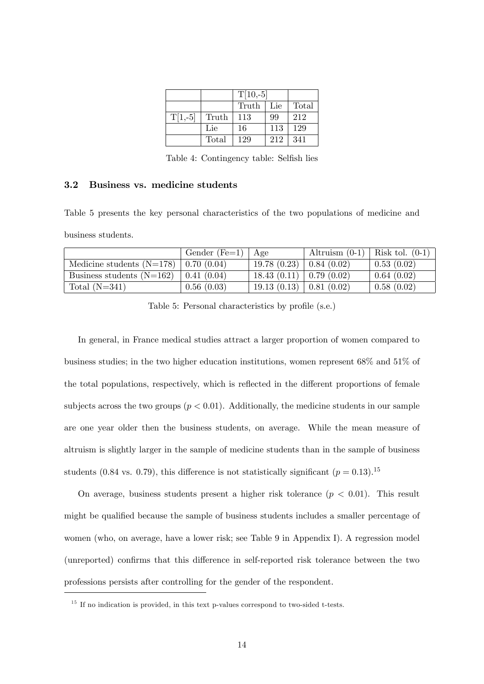|           |       | $T[10,-5]$ |       |       |
|-----------|-------|------------|-------|-------|
|           |       | Truth      | l Lie | Total |
| $T[1,-5]$ | Truth | 113        | 99    | 212   |
|           | Lie   | 16         | 113   | 129   |
|           | Total | 129        | 212   | 341   |

Table 4: Contingency table: Selfish lies

### 3.2 Business vs. medicine students

Table 5 presents the key personal characteristics of the two populations of medicine and business students.

|                                           | Gender (Fe=1) $  \text{Age}$ |                           | Altruism $(0-1)$   Risk tol. $(0-1)$ |            |
|-------------------------------------------|------------------------------|---------------------------|--------------------------------------|------------|
| Medicine students $(N=178)$   0.70 (0.04) |                              | 19.78(0.23)               | $\vert 0.84 \vert (0.02) \vert$      | 0.53(0.02) |
| Business students $(N=162)$               | 0.41(0.04)                   | $18.43(0.11)$ 0.79 (0.02) |                                      | 0.64(0.02) |
| Total $(N=341)$                           | 0.56(0.03)                   | $19.13(0.13)$ 0.81 (0.02) |                                      | 0.58(0.02) |

Table 5: Personal characteristics by profile (s.e.)

In general, in France medical studies attract a larger proportion of women compared to business studies; in the two higher education institutions, women represent 68% and 51% of the total populations, respectively, which is reflected in the different proportions of female subjects across the two groups  $(p < 0.01)$ . Additionally, the medicine students in our sample are one year older then the business students, on average. While the mean measure of altruism is slightly larger in the sample of medicine students than in the sample of business students (0.84 vs. 0.79), this difference is not statistically significant  $(p = 0.13).$ <sup>15</sup>

On average, business students present a higher risk tolerance  $(p < 0.01)$ . This result might be qualified because the sample of business students includes a smaller percentage of women (who, on average, have a lower risk; see Table 9 in Appendix I). A regression model (unreported) confirms that this difference in self-reported risk tolerance between the two professions persists after controlling for the gender of the respondent.

 $15$  If no indication is provided, in this text p-values correspond to two-sided t-tests.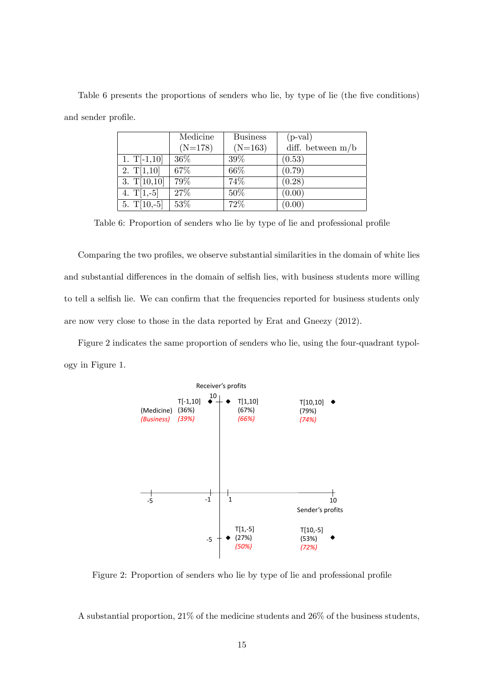Table 6 presents the proportions of senders who lie, by type of lie (the five conditions) and sender profile.

|               | Medicine  | <b>Business</b> | $(p-value $         |
|---------------|-----------|-----------------|---------------------|
|               | $(N=178)$ | $(N=163)$       | diff. between $m/b$ |
| 1. $T[-1,10]$ | 36\%      | $39\%$          | (0.53)              |
| 2. $T[1,10]$  | 67%       | 66%             | (0.79)              |
| 3. $T[10,10]$ | 79%       | 74%             | (0.28)              |
| 4. $T[1,-5]$  | 27%       | $50\%$          | (0.00)              |
| 5. $T[10,-5]$ | 53%       | 72%             | (0.00)              |

Table 6: Proportion of senders who lie by type of lie and professional profile

Comparing the two profiles, we observe substantial similarities in the domain of white lies and substantial differences in the domain of selfish lies, with business students more willing to tell a selfish lie. We can confirm that the frequencies reported for business students only are now very close to those in the data reported by Erat and Gneezy (2012).

Figure 2 indicates the same proportion of senders who lie, using the four-quadrant typology in Figure 1.



Figure 2: Proportion of senders who lie by type of lie and professional profile

A substantial proportion, 21% of the medicine students and 26% of the business students,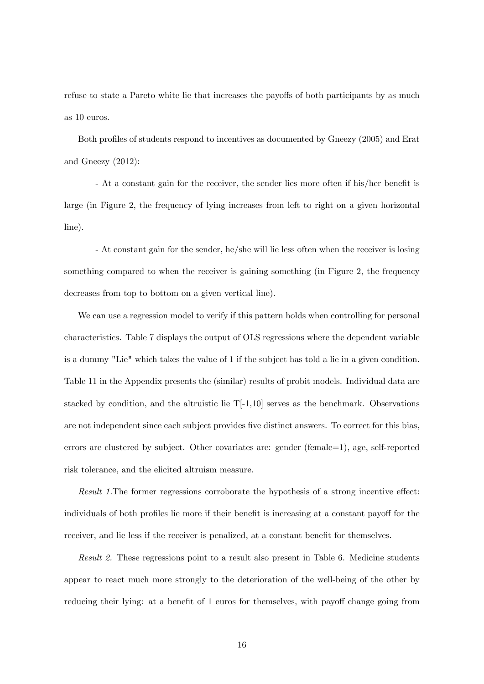refuse to state a Pareto white lie that increases the payoffs of both participants by as much as 10 euros.

Both profiles of students respond to incentives as documented by Gneezy (2005) and Erat and Gneezy (2012):

- At a constant gain for the receiver, the sender lies more often if his/her benefit is large (in Figure 2, the frequency of lying increases from left to right on a given horizontal line).

- At constant gain for the sender, he/she will lie less often when the receiver is losing something compared to when the receiver is gaining something (in Figure 2, the frequency decreases from top to bottom on a given vertical line).

We can use a regression model to verify if this pattern holds when controlling for personal characteristics. Table 7 displays the output of OLS regressions where the dependent variable is a dummy "Lie" which takes the value of 1 if the subject has told a lie in a given condition. Table 11 in the Appendix presents the (similar) results of probit models. Individual data are stacked by condition, and the altruistic lie  $T[-1,10]$  serves as the benchmark. Observations are not independent since each subject provides five distinct answers. To correct for this bias, errors are clustered by subject. Other covariates are: gender (female=1), age, self-reported risk tolerance, and the elicited altruism measure.

Result 1. The former regressions corroborate the hypothesis of a strong incentive effect: individuals of both profiles lie more if their benefit is increasing at a constant payoff for the receiver, and lie less if the receiver is penalized, at a constant benefit for themselves.

Result 2. These regressions point to a result also present in Table 6. Medicine students appear to react much more strongly to the deterioration of the well-being of the other by reducing their lying: at a benefit of 1 euros for themselves, with payoff change going from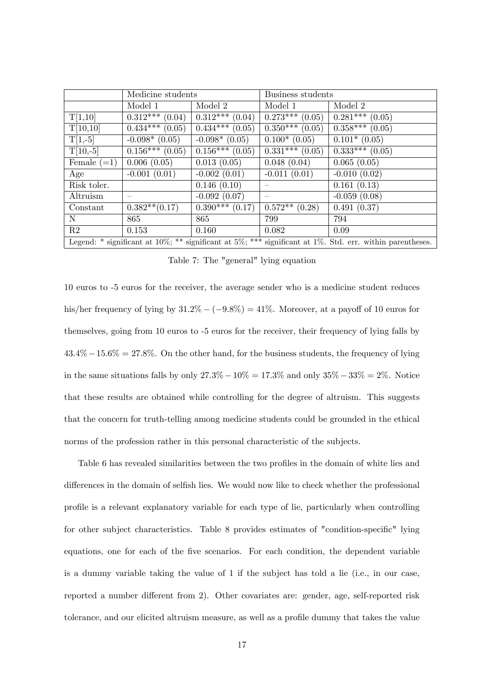|               | Medicine students |                   | Business students       |                                                                                                                  |  |
|---------------|-------------------|-------------------|-------------------------|------------------------------------------------------------------------------------------------------------------|--|
|               | Model 1           | Model 2           | Model 1                 | Model 2                                                                                                          |  |
| T[1,10]       | $0.312***$ (0.04) | $0.312***$ (0.04) | $0.273***$ (0.05)       | $0.281***$ (0.05)                                                                                                |  |
| T[10,10]      | $0.434***(0.05)$  | $0.434***(0.05)$  | $\sqrt{0.350***(0.05)}$ | $\overline{0.358***(0.05)}$                                                                                      |  |
| $T[1,-5]$     | $-0.098*(0.05)$   | $-0.098*(0.05)$   | $0.100*(0.05)$          | $\overline{0.101}$ (0.05)                                                                                        |  |
| $T[10,-5]$    | $0.156***(0.05)$  | $0.156***(0.05)$  | $0.331***(0.05)$        | $\overline{0.333^{***}(0.05)}$                                                                                   |  |
| Female $(=1)$ | 0.006(0.05)       | 0.013(0.05)       | 0.048(0.04)             | 0.065(0.05)                                                                                                      |  |
| Age           | $-0.001(0.01)$    | $-0.002(0.01)$    | $-0.011(0.01)$          | $-0.010(0.02)$                                                                                                   |  |
| Risk toler.   |                   | 0.146(0.10)       |                         | 0.161(0.13)                                                                                                      |  |
| Altruism      |                   | $-0.092(0.07)$    |                         | $-0.059(0.08)$                                                                                                   |  |
| Constant      | $0.382**$ (0.17)  | $0.390***$ (0.17) | $0.572**$ (0.28)        | 0.491(0.37)                                                                                                      |  |
| N             | 865               | 865               | 799                     | 794                                                                                                              |  |
| R2            | 0.153             | 0.160             | 0.082                   | 0.09                                                                                                             |  |
|               |                   |                   |                         | Legend: * significant at $10\%$ ; ** significant at $5\%$ ; *** significant at 1%. Std. err. within parentheses. |  |

Table 7: The "general" lying equation

10 euros to -5 euros for the receiver, the average sender who is a medicine student reduces his/her frequency of lying by  $31.2\% - (-9.8\%) = 41\%$ . Moreover, at a payoff of 10 euros for themselves, going from 10 euros to -5 euros for the receiver, their frequency of lying falls by  $43.4\% - 15.6\% = 27.8\%$ . On the other hand, for the business students, the frequency of lying in the same situations falls by only  $27.3\% - 10\% = 17.3\%$  and only  $35\% - 33\% = 2\%$ . Notice that these results are obtained while controlling for the degree of altruism. This suggests that the concern for truth-telling among medicine students could be grounded in the ethical norms of the profession rather in this personal characteristic of the subjects.

Table 6 has revealed similarities between the two profiles in the domain of white lies and differences in the domain of selfish lies. We would now like to check whether the professional proÖle is a relevant explanatory variable for each type of lie, particularly when controlling for other subject characteristics. Table 8 provides estimates of "condition-specific" lying equations, one for each of the Öve scenarios. For each condition, the dependent variable is a dummy variable taking the value of 1 if the subject has told a lie (i.e., in our case, reported a number different from 2). Other covariates are: gender, age, self-reported risk tolerance, and our elicited altruism measure, as well as a profile dummy that takes the value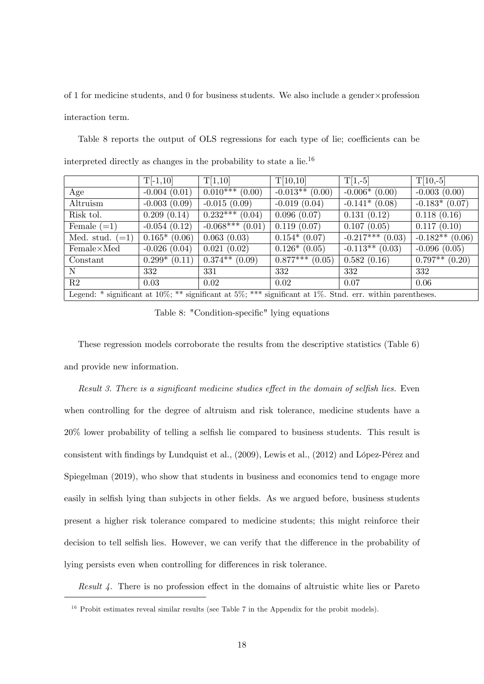of 1 for medicine students, and 0 for business students. We also include a gender $\times$  profession interaction term.

|  |  |  | Table 8 reports the output of OLS regressions for each type of lie; coefficients can be |  |  |  |  |
|--|--|--|-----------------------------------------------------------------------------------------|--|--|--|--|
|  |  |  | interpreted directly as changes in the probability to state a $\text{lie}^{16}$         |  |  |  |  |

|                                                                 | $T[-1,10]$                | T[1,10]                       | T[10,10]                | $T[1,-5]$                                             | $T[10,-5]$                |
|-----------------------------------------------------------------|---------------------------|-------------------------------|-------------------------|-------------------------------------------------------|---------------------------|
| Age                                                             | $-0.004(0.01)$            | $\overline{0.010}$ *** (0.00) | $-0.013**$ (0.00)       | $-0.006*(0.00)$                                       | $-0.003(0.00)$            |
| Altruism                                                        | $-0.003(0.09)$            | $-0.015(0.09)$                | $-0.019(0.04)$          | $-0.141*(0.08)$                                       | $-0.183*(0.07)$           |
| Risk tol.                                                       | 0.209(0.14)               | $\sqrt{0.232^{***}}$ (0.04)   | 0.096(0.07)             | 0.131(0.12)                                           | 0.118(0.16)               |
| Female $(=1)$                                                   | $-0.054(0.12)$            | $-0.068***(0.01)$             | 0.119(0.07)             | 0.107(0.05)                                           | $\overline{0.117} (0.10)$ |
| Med. stud. $(=1)$                                               | $\overline{0.165}$ (0.06) | 0.063(0.03)                   | $0.154*(0.07)$          | $-0.217***$ (0.03)                                    | $-0.182**$ (0.06)         |
| $Female\times Med$                                              | $-0.026(0.04)$            | 0.021(0.02)                   | $0.126*(0.05)$          | $-0.113**$ (0.03)                                     | $-0.096(0.05)$            |
| Constant                                                        | $0.299*(0.11)$            | $\sqrt{0.374**}$ (0.09)       | $\sqrt{0.877***(0.05)}$ | 0.582(0.16)                                           | $\sqrt{0.797**}$ (0.20)   |
| N                                                               | 332                       | 331                           | 332                     | 332                                                   | 332                       |
| R2                                                              | 0.03                      | 0.02                          | 0.02                    | 0.07                                                  | 0.06                      |
| Legend: * significant at $10\%$ ; ** significant at $5\%$ ; *** |                           |                               |                         | significant at $1\%$ . Stnd. err. within parentheses. |                           |

Table 8: "Condition-specific" lying equations

These regression models corroborate the results from the descriptive statistics (Table 6) and provide new information.

Result 3. There is a significant medicine studies effect in the domain of selfish lies. Even when controlling for the degree of altruism and risk tolerance, medicine students have a  $20\%$  lower probability of telling a selfish lie compared to business students. This result is consistent with findings by Lundquist et al.,  $(2009)$ , Lewis et al.,  $(2012)$  and López-Pérez and Spiegelman (2019), who show that students in business and economics tend to engage more easily in selfish lying than subjects in other fields. As we argued before, business students present a higher risk tolerance compared to medicine students; this might reinforce their decision to tell selfish lies. However, we can verify that the difference in the probability of lying persists even when controlling for differences in risk tolerance.

Result 4. There is no profession effect in the domains of altruistic white lies or Pareto

 $16$  Probit estimates reveal similar results (see Table 7 in the Appendix for the probit models).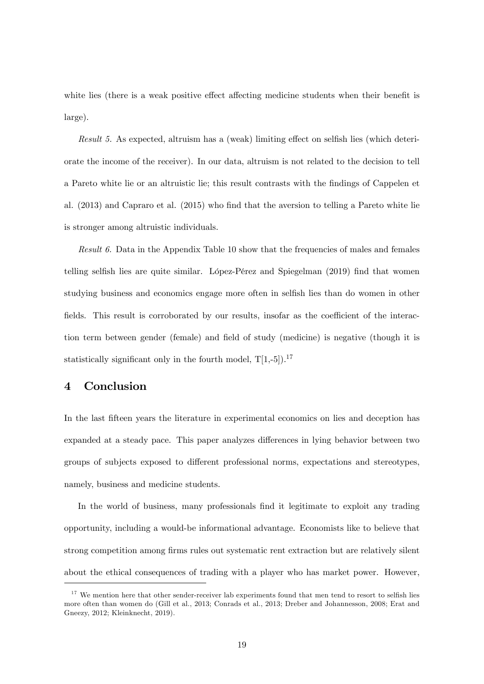white lies (there is a weak positive effect affecting medicine students when their benefit is large).

Result 5. As expected, altruism has a (weak) limiting effect on selfish lies (which deteriorate the income of the receiver). In our data, altruism is not related to the decision to tell a Pareto white lie or an altruistic lie; this result contrasts with the findings of Cappelen et al. (2013) and Capraro et al. (2015) who find that the aversion to telling a Pareto white lie is stronger among altruistic individuals.

Result 6. Data in the Appendix Table 10 show that the frequencies of males and females telling selfish lies are quite similar. López-Pérez and Spiegelman (2019) find that women studying business and economics engage more often in selfish lies than do women in other fields. This result is corroborated by our results, insofar as the coefficient of the interaction term between gender (female) and field of study (medicine) is negative (though it is statistically significant only in the fourth model,  $T[1,-5]$ .<sup>17</sup>

# 4 Conclusion

In the last fifteen years the literature in experimental economics on lies and deception has expanded at a steady pace. This paper analyzes differences in lying behavior between two groups of subjects exposed to different professional norms, expectations and stereotypes, namely, business and medicine students.

In the world of business, many professionals find it legitimate to exploit any trading opportunity, including a would-be informational advantage. Economists like to believe that strong competition among firms rules out systematic rent extraction but are relatively silent about the ethical consequences of trading with a player who has market power. However,

 $17$  We mention here that other sender-receiver lab experiments found that men tend to resort to selfish lies more often than women do (Gill et al., 2013; Conrads et al., 2013; Dreber and Johannesson, 2008; Erat and Gneezy, 2012; Kleinknecht, 2019).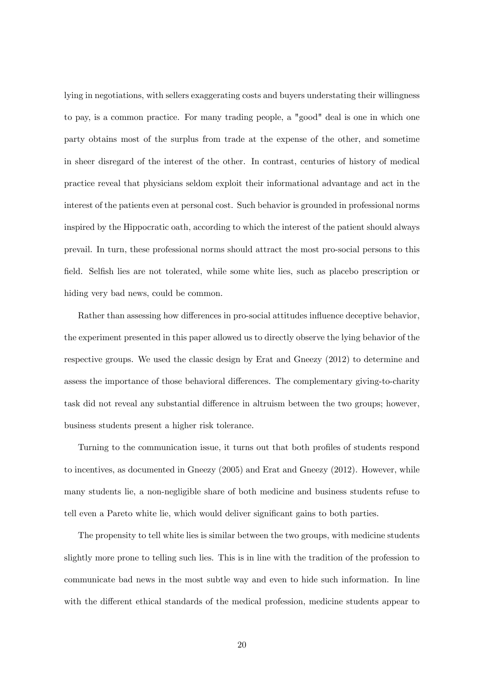lying in negotiations, with sellers exaggerating costs and buyers understating their willingness to pay, is a common practice. For many trading people, a "good" deal is one in which one party obtains most of the surplus from trade at the expense of the other, and sometime in sheer disregard of the interest of the other. In contrast, centuries of history of medical practice reveal that physicians seldom exploit their informational advantage and act in the interest of the patients even at personal cost. Such behavior is grounded in professional norms inspired by the Hippocratic oath, according to which the interest of the patient should always prevail. In turn, these professional norms should attract the most pro-social persons to this field. Selfish lies are not tolerated, while some white lies, such as placebo prescription or hiding very bad news, could be common.

Rather than assessing how differences in pro-social attitudes influence deceptive behavior, the experiment presented in this paper allowed us to directly observe the lying behavior of the respective groups. We used the classic design by Erat and Gneezy (2012) to determine and assess the importance of those behavioral differences. The complementary giving-to-charity task did not reveal any substantial difference in altruism between the two groups; however, business students present a higher risk tolerance.

Turning to the communication issue, it turns out that both profiles of students respond to incentives, as documented in Gneezy (2005) and Erat and Gneezy (2012). However, while many students lie, a non-negligible share of both medicine and business students refuse to tell even a Pareto white lie, which would deliver significant gains to both parties.

The propensity to tell white lies is similar between the two groups, with medicine students slightly more prone to telling such lies. This is in line with the tradition of the profession to communicate bad news in the most subtle way and even to hide such information. In line with the different ethical standards of the medical profession, medicine students appear to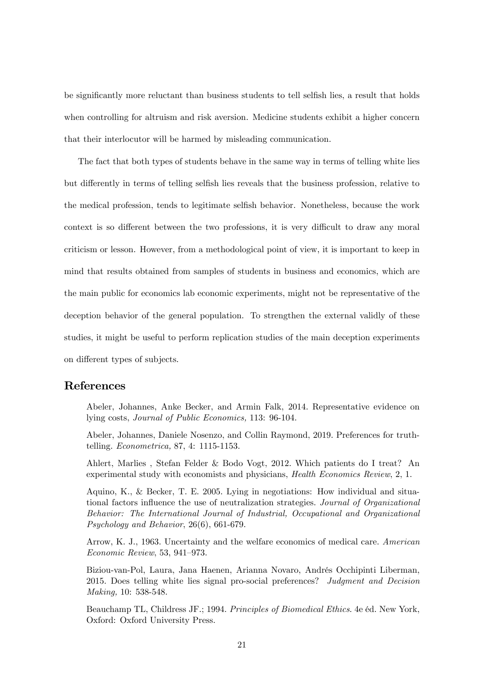be significantly more reluctant than business students to tell selfish lies, a result that holds when controlling for altruism and risk aversion. Medicine students exhibit a higher concern that their interlocutor will be harmed by misleading communication.

The fact that both types of students behave in the same way in terms of telling white lies but differently in terms of telling selfish lies reveals that the business profession, relative to the medical profession, tends to legitimate selfish behavior. Nonetheless, because the work context is so different between the two professions, it is very difficult to draw any moral criticism or lesson. However, from a methodological point of view, it is important to keep in mind that results obtained from samples of students in business and economics, which are the main public for economics lab economic experiments, might not be representative of the deception behavior of the general population. To strengthen the external validly of these studies, it might be useful to perform replication studies of the main deception experiments on different types of subjects.

### References

Abeler, Johannes, Anke Becker, and Armin Falk, 2014. Representative evidence on lying costs, Journal of Public Economics, 113: 96-104.

Abeler, Johannes, Daniele Nosenzo, and Collin Raymond, 2019. Preferences for truthtelling. Econometrica, 87, 4: 1115-1153.

Ahlert, Marlies , Stefan Felder & Bodo Vogt, 2012. Which patients do I treat? An experimental study with economists and physicians, Health Economics Review, 2, 1.

Aquino, K., & Becker, T. E. 2005. Lying in negotiations: How individual and situational factors influence the use of neutralization strategies. Journal of Organizational Behavior: The International Journal of Industrial, Occupational and Organizational Psychology and Behavior, 26(6), 661-679.

Arrow, K. J., 1963. Uncertainty and the welfare economics of medical care. American  $Economic$  Review, 53, 941-973.

Biziou-van-Pol, Laura, Jana Haenen, Arianna Novaro, Andrés Occhipinti Liberman, 2015. Does telling white lies signal pro-social preferences? Judgment and Decision Making, 10: 538-548.

Beauchamp TL, Childress JF.; 1994. Principles of Biomedical Ethics. 4e éd. New York, Oxford: Oxford University Press.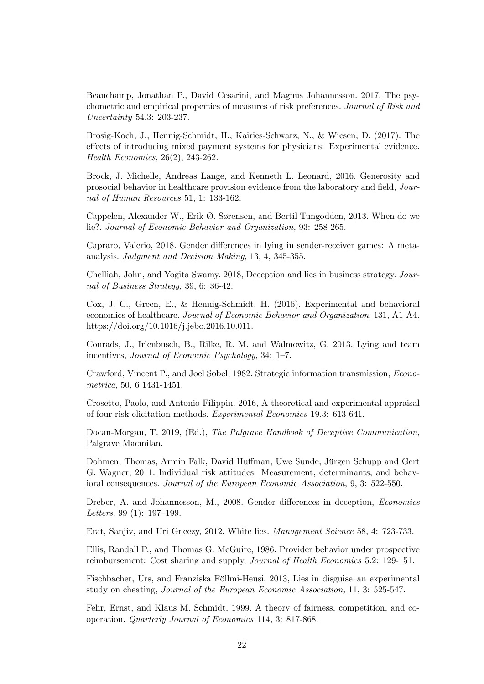Beauchamp, Jonathan P., David Cesarini, and Magnus Johannesson. 2017, The psychometric and empirical properties of measures of risk preferences. Journal of Risk and Uncertainty 54.3: 203-237.

Brosig-Koch, J., Hennig-Schmidt, H., Kairies-Schwarz, N., & Wiesen, D. (2017). The effects of introducing mixed payment systems for physicians: Experimental evidence. Health Economics, 26(2), 243-262.

Brock, J. Michelle, Andreas Lange, and Kenneth L. Leonard, 2016. Generosity and prosocial behavior in healthcare provision evidence from the laboratory and field, Journal of Human Resources 51, 1: 133-162.

Cappelen, Alexander W., Erik  $\emptyset$ . Sørensen, and Bertil Tungodden, 2013. When do we lie?. Journal of Economic Behavior and Organization, 93: 258-265.

Capraro, Valerio, 2018. Gender differences in lying in sender-receiver games: A metaanalysis. Judgment and Decision Making, 13, 4, 345-355.

Chelliah, John, and Yogita Swamy. 2018, Deception and lies in business strategy. Journal of Business Strategy, 39, 6: 36-42.

Cox, J. C., Green, E., & Hennig-Schmidt, H. (2016). Experimental and behavioral economics of healthcare. Journal of Economic Behavior and Organization, 131, A1-A4. https://doi.org/10.1016/j.jebo.2016.10.011.

Conrads, J., Irlenbusch, B., Rilke, R. M. and Walmowitz, G. 2013. Lying and team incentives, *Journal of Economic Psychology*, 34:  $1-7$ .

Crawford, Vincent P., and Joel Sobel, 1982. Strategic information transmission, Econometrica, 50, 6 1431-1451.

Crosetto, Paolo, and Antonio Filippin. 2016, A theoretical and experimental appraisal of four risk elicitation methods. Experimental Economics 19.3: 613-641.

Docan-Morgan, T. 2019, (Ed.), The Palgrave Handbook of Deceptive Communication, Palgrave Macmilan.

Dohmen, Thomas, Armin Falk, David Huffman, Uwe Sunde, Jürgen Schupp and Gert G. Wagner, 2011. Individual risk attitudes: Measurement, determinants, and behavioral consequences. Journal of the European Economic Association, 9, 3: 522-550.

Dreber, A. and Johannesson, M., 2008. Gender differences in deception, *Economics* Letters, 99  $(1)$ : 197-199.

Erat, Sanjiv, and Uri Gneezy, 2012. White lies. Management Science 58, 4: 723-733.

Ellis, Randall P., and Thomas G. McGuire, 1986. Provider behavior under prospective reimbursement: Cost sharing and supply, Journal of Health Economics 5.2: 129-151.

Fischbacher, Urs, and Franziska Föllmi-Heusi. 2013, Lies in disguise an experimental study on cheating, Journal of the European Economic Association, 11, 3: 525-547.

Fehr, Ernst, and Klaus M. Schmidt, 1999. A theory of fairness, competition, and cooperation. Quarterly Journal of Economics 114, 3: 817-868.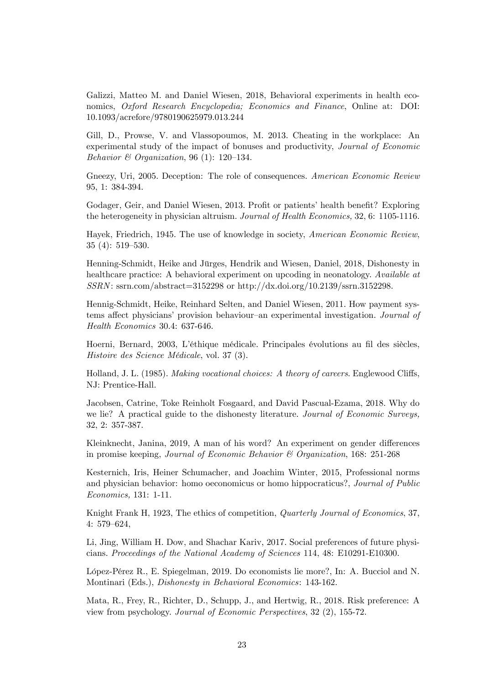Galizzi, Matteo M. and Daniel Wiesen, 2018, Behavioral experiments in health economics, Oxford Research Encyclopedia; Economics and Finance, Online at: DOI: 10.1093/acrefore/9780190625979.013.244

Gill, D., Prowse, V. and Vlassopoumos, M. 2013. Cheating in the workplace: An experimental study of the impact of bonuses and productivity, Journal of Economic Behavior  $\mathcal B$  Organization, 96 (1): 120-134.

Gneezy, Uri, 2005. Deception: The role of consequences. American Economic Review 95, 1: 384-394.

Godager, Geir, and Daniel Wiesen, 2013. Profit or patients' health benefit? Exploring the heterogeneity in physician altruism. Journal of Health Economics, 32, 6: 1105-1116.

Hayek, Friedrich, 1945. The use of knowledge in society, American Economic Review,  $35(4): 519-530.$ 

Henning-Schmidt, Heike and Jürges, Hendrik and Wiesen, Daniel, 2018, Dishonesty in healthcare practice: A behavioral experiment on upcoding in neonatology. Available at  $SSRN:$  ssrn.com/abstract=3152298 or http://dx.doi.org/10.2139/ssrn.3152298.

Hennig-Schmidt, Heike, Reinhard Selten, and Daniel Wiesen, 2011. How payment systems affect physicians' provision behaviour-an experimental investigation. Journal of Health Economics 30.4: 637-646.

Hoerni, Bernard, 2003, L'éthique médicale. Principales évolutions au fil des siècles, Histoire des Science MÈdicale, vol. 37 (3).

Holland, J. L. (1985). *Making vocational choices: A theory of careers.* Englewood Cliffs, NJ: Prentice-Hall.

Jacobsen, Catrine, Toke Reinholt Fosgaard, and David Pascual-Ezama, 2018. Why do we lie? A practical guide to the dishonesty literature. Journal of Economic Surveys, 32, 2: 357-387.

Kleinknecht, Janina, 2019, A man of his word? An experiment on gender differences in promise keeping, Journal of Economic Behavior & Organization, 168: 251-268

Kesternich, Iris, Heiner Schumacher, and Joachim Winter, 2015, Professional norms and physician behavior: homo oeconomicus or homo hippocraticus?, Journal of Public Economics, 131: 1-11.

Knight Frank H, 1923, The ethics of competition, Quarterly Journal of Economics, 37, 4: 579-624,

Li, Jing, William H. Dow, and Shachar Kariv, 2017. Social preferences of future physicians. Proceedings of the National Academy of Sciences 114, 48: E10291-E10300.

LÛpez-PÈrez R., E. Spiegelman, 2019. Do economists lie more?, In: A. Bucciol and N. Montinari (Eds.), Dishonesty in Behavioral Economics: 143-162.

Mata, R., Frey, R., Richter, D., Schupp, J., and Hertwig, R., 2018. Risk preference: A view from psychology. Journal of Economic Perspectives, 32 (2), 155-72.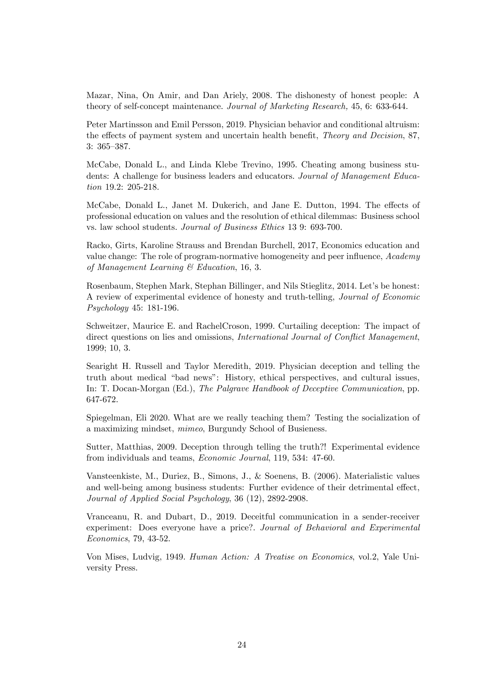Mazar, Nina, On Amir, and Dan Ariely, 2008. The dishonesty of honest people: A theory of self-concept maintenance. Journal of Marketing Research, 45, 6: 633-644.

Peter Martinsson and Emil Persson, 2019. Physician behavior and conditional altruism: the effects of payment system and uncertain health benefit, *Theory and Decision*, 87,  $3: 365 - 387.$ 

McCabe, Donald L., and Linda Klebe Trevino, 1995. Cheating among business students: A challenge for business leaders and educators. Journal of Management Education 19.2: 205-218.

McCabe, Donald L., Janet M. Dukerich, and Jane E. Dutton, 1994. The effects of professional education on values and the resolution of ethical dilemmas: Business school vs. law school students. Journal of Business Ethics 13 9: 693-700.

Racko, Girts, Karoline Strauss and Brendan Burchell, 2017, Economics education and value change: The role of program-normative homogeneity and peer influence,  $Academy$ of Management Learning & Education, 16, 3.

Rosenbaum, Stephen Mark, Stephan Billinger, and Nils Stieglitz, 2014. Let's be honest: A review of experimental evidence of honesty and truth-telling, Journal of Economic Psychology 45: 181-196.

Schweitzer, Maurice E. and RachelCroson, 1999. Curtailing deception: The impact of direct questions on lies and omissions, *International Journal of Conflict Management*, 1999; 10, 3.

Searight H. Russell and Taylor Meredith, 2019. Physician deception and telling the truth about medical "bad news": History, ethical perspectives, and cultural issues, In: T. Docan-Morgan (Ed.), The Palgrave Handbook of Deceptive Communication, pp. 647-672.

Spiegelman, Eli 2020. What are we really teaching them? Testing the socialization of a maximizing mindset, mimeo, Burgundy School of Busieness.

Sutter, Matthias, 2009. Deception through telling the truth?! Experimental evidence from individuals and teams, Economic Journal, 119, 534: 47-60.

Vansteenkiste, M., Duriez, B., Simons, J., & Soenens, B. (2006). Materialistic values and well-being among business students: Further evidence of their detrimental effect, Journal of Applied Social Psychology, 36 (12), 2892-2908.

Vranceanu, R. and Dubart, D., 2019. Deceitful communication in a sender-receiver experiment: Does everyone have a price?. Journal of Behavioral and Experimental Economics, 79, 43-52.

Von Mises, Ludvig, 1949. Human Action: A Treatise on Economics, vol.2, Yale University Press.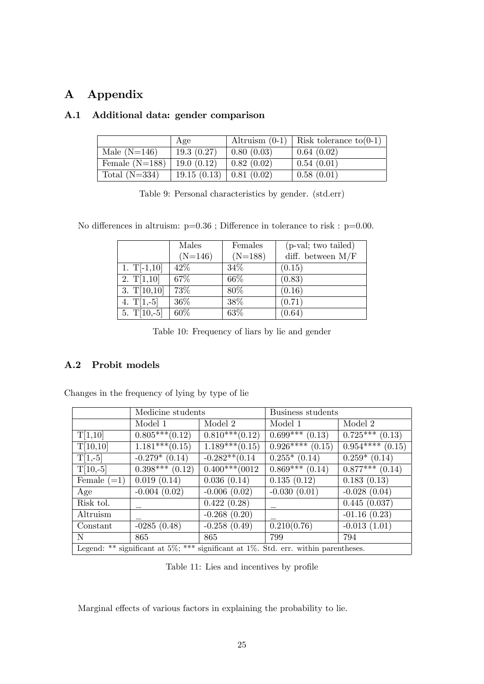# A Appendix

|                  | Age         | Altruism $(0-1)$                | Risk tolerance to $(0-1)$ |
|------------------|-------------|---------------------------------|---------------------------|
| Male $(N=146)$   | 19.3(0.27)  | 0.80(0.03)                      | 0.64(0.02)                |
| Female $(N=188)$ | 19.0(0.12)  | 0.82(0.02)                      | 0.54(0.01)                |
| Total $(N=334)$  | 19.15(0.13) | $\vert 0.81 \vert (0.02) \vert$ | 0.58(0.01)                |

# A.1 Additional data: gender comparison

Table 9: Personal characteristics by gender. (std.err)

No differences in altruism:  $p=0.36$ ; Difference in tolerance to risk :  $p=0.00$ .

|               | Males     | Females   | (p-val; two tailed) |
|---------------|-----------|-----------|---------------------|
|               | $(N=146)$ | $(N=188)$ | diff. between $M/F$ |
| 1. $T[-1,10]$ | 42\%      | 34\%      | (0.15)              |
| 2. $T[1,10]$  | 67\%      | 66\%      | (0.83)              |
| 3. $T[10,10]$ | 73%       | 80%       | (0.16)              |
| 4. $T[1,-5]$  | 36\%      | 38\%      | (0.71)              |
| 5. $T[10,-5]$ | 60%       | 63%       | (0.64)              |

Table 10: Frequency of liars by lie and gender

# A.2 Probit models

Changes in the frequency of lying by type of lie

|               | Medicine students |                                 | Business students                                                                          |                   |  |
|---------------|-------------------|---------------------------------|--------------------------------------------------------------------------------------------|-------------------|--|
|               | Model 1           | Model 2                         | Model 1                                                                                    | Model 2           |  |
| T[1,10]       | $0.805***(0.12)$  | $\overline{0.810}$ *** $(0.12)$ | $\overline{0.699}$ *** (0.13)                                                              | $0.725***$ (0.13) |  |
| T[10,10]      | $1.181***(0.15)$  | $1.189***(0.15)$                | $0.926***(0.15)$                                                                           | $0.954***(0.15)$  |  |
| $T[1,-5]$     | $-0.279*(0.14)$   | $-0.282**$ (0.14                | $0.255*(0.14)$                                                                             | $0.259*(0.14)$    |  |
| $T[10,-5]$    | $0.398***(0.12)$  | $0.400***$ (0012)               | $0.869***$ (0.14)                                                                          | $0.877***$ (0.14) |  |
| Female $(=1)$ | 0.019(0.14)       | 0.036(0.14)                     | 0.135(0.12)                                                                                | 0.183(0.13)       |  |
| Age           | $-0.004(0.02)$    | $-0.006(0.02)$                  | $-0.030(0.01)$                                                                             | $-0.028(0.04)$    |  |
| Risk tol.     |                   | 0.422(0.28)                     |                                                                                            | 0.445(0.037)      |  |
| Altruism      |                   | $-0.268(0.20)$                  |                                                                                            | $-01.16(0.23)$    |  |
| Constant      | $-0285(0.48)$     | $-0.258(0.49)$                  | 0.210(0.76)                                                                                | $-0.013(1.01)$    |  |
| N             | 865               | 865                             | 799                                                                                        | 794               |  |
|               |                   |                                 | Legend: ** significant at $5\%$ ; *** significant at $1\%$ . Std. err. within parentheses. |                   |  |

Table 11: Lies and incentives by profile

Marginal effects of various factors in explaining the probability to lie.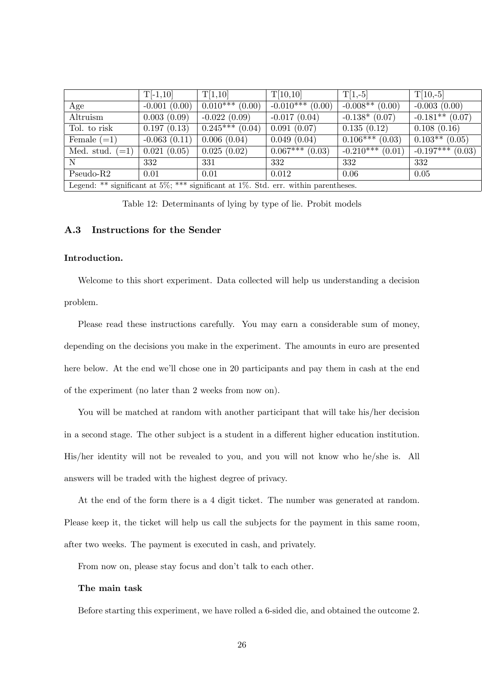|                                                                                               | $T[-1,10]$     | T[1,10]                 | T[10,10]            | $T[1,-5]$                    | $T[10,-5]$         |
|-----------------------------------------------------------------------------------------------|----------------|-------------------------|---------------------|------------------------------|--------------------|
| Age                                                                                           | $-0.001(0.00)$ | $\sqrt{0.010***(0.00)}$ | $-0.010***(0.00)$   | $-0.008**$ (0.00)            | $-0.003(0.00)$     |
| Altruism                                                                                      | 0.003(0.09)    | $-0.022(0.09)$          | $-0.017(0.04)$      | $-0.138*(0.07)$              | $-0.181**$ (0.07)  |
| Tol. to risk                                                                                  | 0.197(0.13)    | $\sqrt{0.245***(0.04)}$ | 0.091(0.07)         | 0.135(0.12)                  | 0.108(0.16)        |
| Female $(=1)$                                                                                 | $-0.063(0.11)$ | 0.006(0.04)             | 0.049(0.04)         | $\overline{0.106***}$ (0.03) | $0.103**$ (0.05)   |
| Med. stud. $(=1)$                                                                             | 0.021(0.05)    | 0.025(0.02)             | $0.067***$ $(0.03)$ | $-0.210***$ (0.01)           | $-0.197***$ (0.03) |
| $\mathbf N$                                                                                   | 332            | 331                     | 332                 | 332                          | 332                |
| $Pseudo-R2$                                                                                   | 0.01           | 0.01                    | 0.012               | 0.06                         | 0.05               |
| Legend: ** significant at $5\%$ ; ***<br>significant at $1\%$ . Std. err. within parentheses. |                |                         |                     |                              |                    |

Table 12: Determinants of lying by type of lie. Probit models

### A.3 Instructions for the Sender

### Introduction.

Welcome to this short experiment. Data collected will help us understanding a decision problem.

Please read these instructions carefully. You may earn a considerable sum of money, depending on the decisions you make in the experiment. The amounts in euro are presented here below. At the end we'll chose one in 20 participants and pay them in cash at the end of the experiment (no later than 2 weeks from now on).

You will be matched at random with another participant that will take his/her decision in a second stage. The other subject is a student in a different higher education institution. His/her identity will not be revealed to you, and you will not know who he/she is. All answers will be traded with the highest degree of privacy.

At the end of the form there is a 4 digit ticket. The number was generated at random. Please keep it, the ticket will help us call the subjects for the payment in this same room, after two weeks. The payment is executed in cash, and privately.

From now on, please stay focus and don't talk to each other.

#### The main task

Before starting this experiment, we have rolled a 6-sided die, and obtained the outcome 2.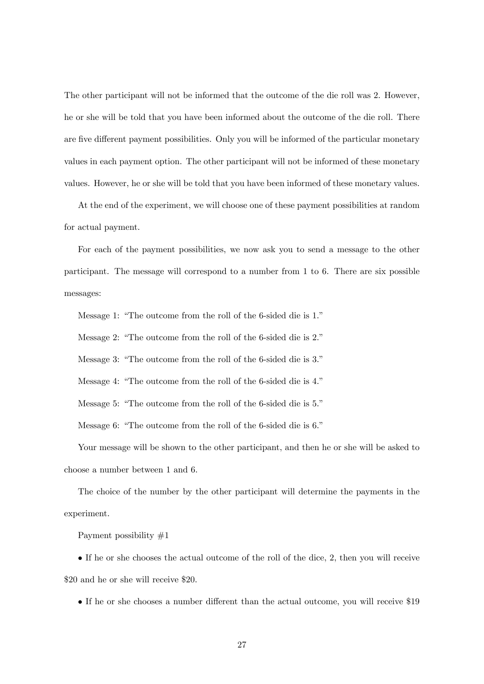The other participant will not be informed that the outcome of the die roll was 2. However, he or she will be told that you have been informed about the outcome of the die roll. There are five different payment possibilities. Only you will be informed of the particular monetary values in each payment option. The other participant will not be informed of these monetary values. However, he or she will be told that you have been informed of these monetary values.

At the end of the experiment, we will choose one of these payment possibilities at random for actual payment.

For each of the payment possibilities, we now ask you to send a message to the other participant. The message will correspond to a number from 1 to 6. There are six possible messages:

Message 1: "The outcome from the roll of the 6-sided die is  $1$ ."

Message 2: "The outcome from the roll of the 6-sided die is 2."

Message 3: "The outcome from the roll of the 6-sided die is  $3$ ."

Message 4: "The outcome from the roll of the 6-sided die is 4."

Message 5: "The outcome from the roll of the 6-sided die is 5."

Message 6: "The outcome from the roll of the 6-sided die is  $6$ ."

Your message will be shown to the other participant, and then he or she will be asked to choose a number between 1 and 6.

The choice of the number by the other participant will determine the payments in the experiment.

Payment possibility #1

 If he or she chooses the actual outcome of the roll of the dice, 2, then you will receive \$20 and he or she will receive \$20.

If he or she chooses a number different than the actual outcome, you will receive \$19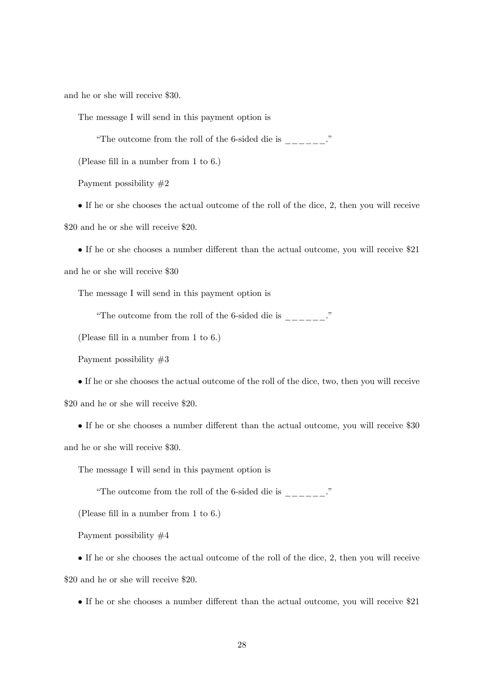and he or she will receive \$30.

The message I will send in this payment option is

"The outcome from the roll of the 6-sided die is  $\frac{1}{1}$ 

(Please fill in a number from 1 to 6.)

Payment possibility #2

 If he or she chooses the actual outcome of the roll of the dice, 2, then you will receive \$20 and he or she will receive \$20.

 $\bullet$  If he or she chooses a number different than the actual outcome, you will receive \$21 and he or she will receive \$30

The message I will send in this payment option is

"The outcome from the roll of the 6-sided die is  $\frac{1}{1}$ "

(Please fill in a number from 1 to 6.)

Payment possibility #3

 If he or she chooses the actual outcome of the roll of the dice, two, then you will receive \$20 and he or she will receive \$20.

If he or she chooses a number different than the actual outcome, you will receive \$30 and he or she will receive \$30.

The message I will send in this payment option is

"The outcome from the roll of the 6-sided die is  $\frac{1}{1-\frac{1}{1-\frac{1}{1-\frac{1}{1-\frac{1}{1-\frac{1}{1-\frac{1}{1-\frac{1}{1-\frac{1}{1-\frac{1}{1-\frac{1}{1-\frac{1}{1-\frac{1}{1-\frac{1}{1-\frac{1}{1-\frac{1}{1-\frac{1}{1-\frac{1}{1-\frac{1}{1-\frac{1}{1-\frac{1}{1-\frac{1}{1-\frac{1}{1-\frac{1}{1-\frac{1}{1-\frac{1}{1-\frac{1}{1-\frac{1}{1-\frac{$ 

(Please fill in a number from 1 to 6.)

Payment possibility #4

 If he or she chooses the actual outcome of the roll of the dice, 2, then you will receive \$20 and he or she will receive \$20.

• If he or she chooses a number different than the actual outcome, you will receive \$21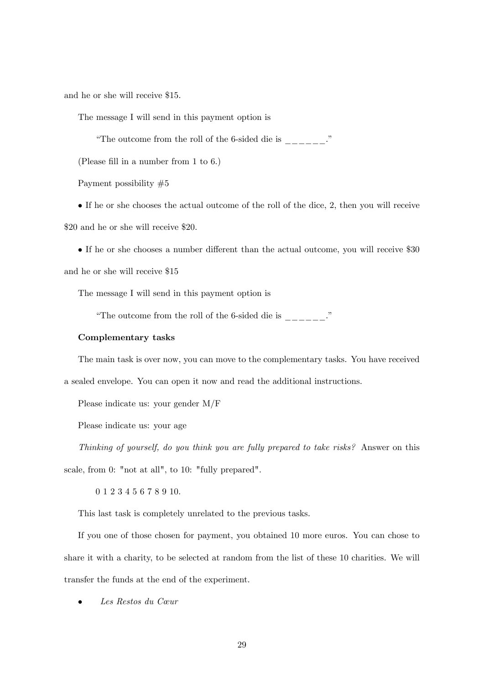and he or she will receive \$15.

The message I will send in this payment option is

"The outcome from the roll of the 6-sided die is  $\frac{1}{2}$ 

(Please fill in a number from 1 to 6.)

Payment possibility #5

 If he or she chooses the actual outcome of the roll of the dice, 2, then you will receive \$20 and he or she will receive \$20.

• If he or she chooses a number different than the actual outcome, you will receive \$30 and he or she will receive \$15

The message I will send in this payment option is

"The outcome from the roll of the 6-sided die is  $\frac{1}{1-\frac{1}{1-\frac{1}{1-\frac{1}{1-\frac{1}{1-\frac{1}{1-\frac{1}{1-\frac{1}{1-\frac{1}{1-\frac{1}{1-\frac{1}{1-\frac{1}{1-\frac{1}{1-\frac{1}{1-\frac{1}{1-\frac{1}{1-\frac{1}{1-\frac{1}{1-\frac{1}{1-\frac{1}{1-\frac{1}{1-\frac{1}{1-\frac{1}{1-\frac{1}{1-\frac{1}{1-\frac{1}{1-\frac{1}{1-\frac{1}{1-\frac{$ 

#### Complementary tasks

The main task is over now, you can move to the complementary tasks. You have received a sealed envelope. You can open it now and read the additional instructions.

Please indicate us: your gender M/F

Please indicate us: your age

Thinking of yourself, do you think you are fully prepared to take risks? Answer on this scale, from 0: "not at all", to 10: "fully prepared".

0 1 2 3 4 5 6 7 8 9 10.

This last task is completely unrelated to the previous tasks.

If you one of those chosen for payment, you obtained 10 more euros. You can chose to share it with a charity, to be selected at random from the list of these 10 charities. We will transfer the funds at the end of the experiment.

Les Restos du Cœur